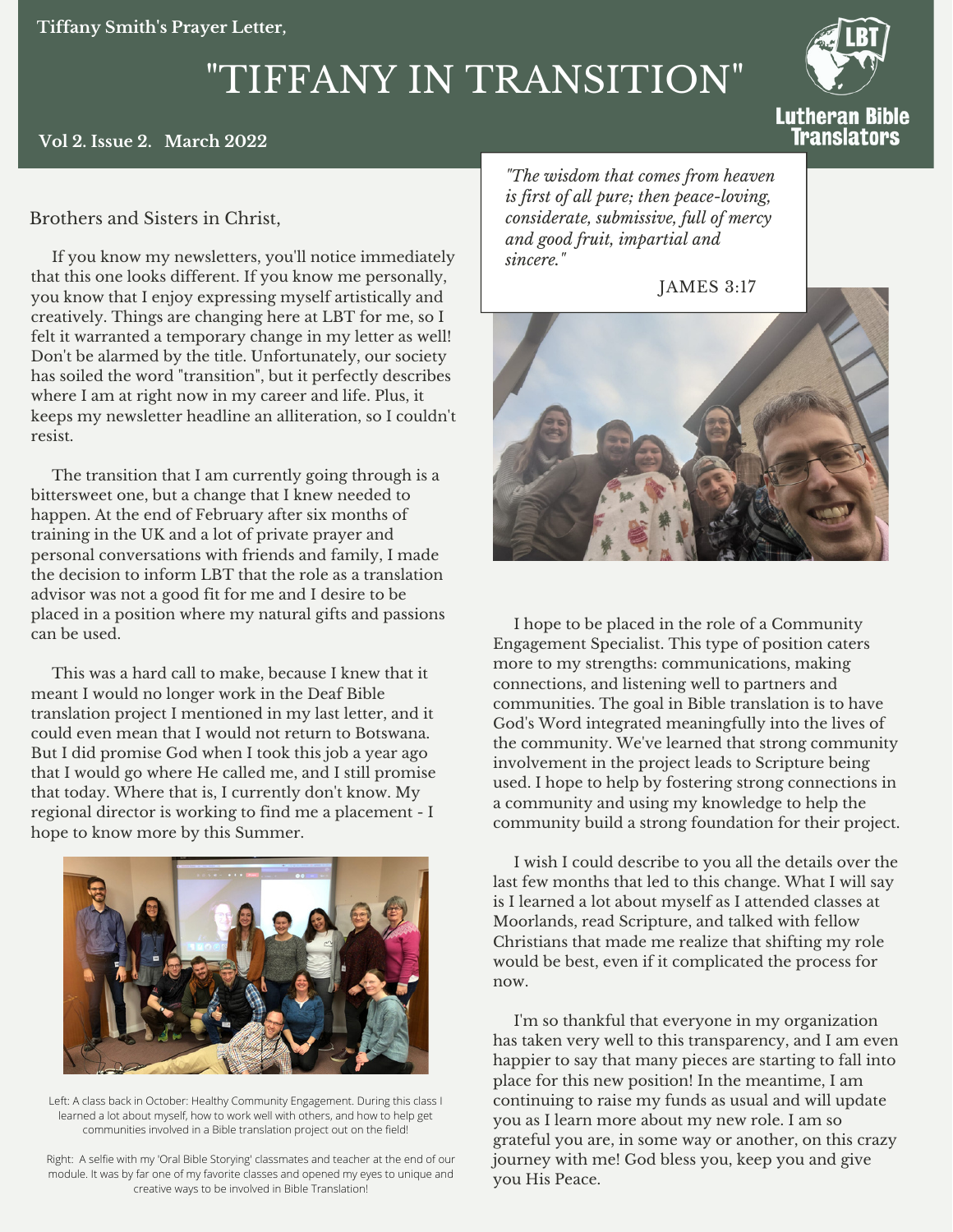# "TIFFANY IN TRANSITION"



Translators

#### **Vol 2. Issue 2. March 2022**

### Brothers and Sisters in Christ,

If you know my newsletters, you'll notice immediately that this one looks different. If you know me personally, you know that I enjoy expressing myself artistically and creatively. Things are changing here at LBT for me, so I felt it warranted a temporary change in my letter as well! Don't be alarmed by the title. Unfortunately, our society has soiled the word "transition", but it perfectly describes where I am at right now in my career and life. Plus, it keeps my newsletter headline an alliteration, so I couldn't resist.

The transition that I am currently going through is a bittersweet one, but a change that I knew needed to happen. At the end of February after six months of training in the UK and a lot of private prayer and personal conversations with friends and family, I made the decision to inform LBT that the role as a translation advisor was not a good fit for me and I desire to be placed in a position where my natural gifts and passions can be used.

This was a hard call to make, because I knew that it meant I would no longer work in the Deaf Bible translation project I mentioned in my last letter, and it could even mean that I would not return to Botswana. But I did promise God when I took this job a year ago that I would go where He called me, and I still promise that today. Where that is, I currently don't know. My regional director is working to find me a placement - I hope to know more by this Summer.



Left: A class back in October: Healthy Community Engagement. During this class I learned a lot about myself, how to work well with others, and how to help get communities involved in a Bible translation project out on the field!

Right: A selfie with my 'Oral Bible Storying' classmates and teacher at the end of our module. It was by far one of my favorite classes and opened my eyes to unique and creative ways to be involved in Bible Translation!

*"The wisdom that comes from heaven is first of all pure; then peace-loving, considerate, submissive, full of mercy and good fruit, impartial and sincere."*

JAMES 3:17



I hope to be placed in the role of a Community Engagement Specialist. This type of position caters more to my strengths: communications, making connections, and listening well to partners and communities. The goal in Bible translation is to have God's Word integrated meaningfully into the lives of the community. We've learned that strong community involvement in the project leads to Scripture being used. I hope to help by fostering strong connections in a community and using my knowledge to help the community build a strong foundation for their project.

I wish I could describe to you all the details over the last few months that led to this change. What I will say is I learned a lot about myself as I attended classes at Moorlands, read Scripture, and talked with fellow Christians that made me realize that shifting my role would be best, even if it complicated the process for now.

I'm so thankful that everyone in my organization has taken very well to this transparency, and I am even happier to say that many pieces are starting to fall into place for this new position! In the meantime, I am continuing to raise my funds as usual and will update you as I learn more about my new role. I am so grateful you are, in some way or another, on this crazy journey with me! God bless you, keep you and give you His Peace.